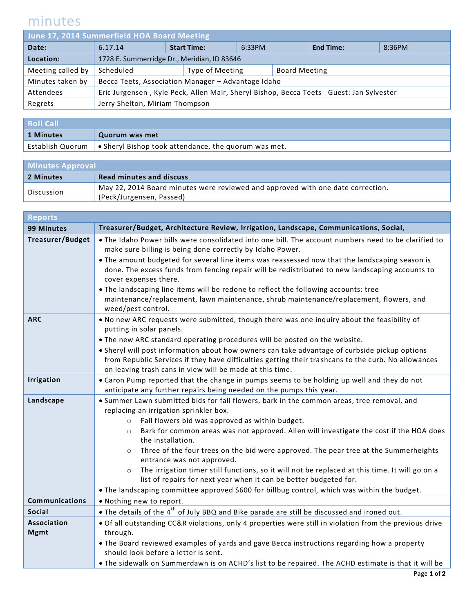## minutes

| June 17, 2014 Summerfield HOA Board Meeting |                                                                                        |                    |                 |        |                      |                  |        |
|---------------------------------------------|----------------------------------------------------------------------------------------|--------------------|-----------------|--------|----------------------|------------------|--------|
| Date:                                       | 6.17.14                                                                                | <b>Start Time:</b> |                 | 6:33PM |                      | <b>End Time:</b> | 8:36PM |
| Location:                                   | 1728 E. Summerridge Dr., Meridian, ID 83646                                            |                    |                 |        |                      |                  |        |
| Meeting called by                           | Scheduled                                                                              |                    | Type of Meeting |        | <b>Board Meeting</b> |                  |        |
| Minutes taken by                            | Becca Teets, Association Manager - Advantage Idaho                                     |                    |                 |        |                      |                  |        |
| Attendees                                   | Eric Jurgensen, Kyle Peck, Allen Mair, Sheryl Bishop, Becca Teets Guest: Jan Sylvester |                    |                 |        |                      |                  |        |
| Regrets                                     | Jerry Shelton, Miriam Thompson                                                         |                    |                 |        |                      |                  |        |
|                                             |                                                                                        |                    |                 |        |                      |                  |        |

| <b>Roll Call</b> |                                                                         |
|------------------|-------------------------------------------------------------------------|
| 1 Minutes        | Quorum was met                                                          |
|                  | Establish Quorum   • Sheryl Bishop took attendance, the quorum was met. |

| <b>Minutes Approval</b> |                                                                                 |  |  |
|-------------------------|---------------------------------------------------------------------------------|--|--|
| 2 Minutes               | <b>Read minutes and discuss</b>                                                 |  |  |
| Discussion              | May 22, 2014 Board minutes were reviewed and approved with one date correction. |  |  |
|                         | (Peck/Jurgensen, Passed)                                                        |  |  |

| Reports                 |                                                                                                                                                                                                                                                                  |  |  |  |
|-------------------------|------------------------------------------------------------------------------------------------------------------------------------------------------------------------------------------------------------------------------------------------------------------|--|--|--|
| 99 Minutes              | Treasurer/Budget, Architecture Review, Irrigation, Landscape, Communications, Social,                                                                                                                                                                            |  |  |  |
| <b>Treasurer/Budget</b> | . The Idaho Power bills were consolidated into one bill. The account numbers need to be clarified to<br>make sure billing is being done correctly by Idaho Power.                                                                                                |  |  |  |
|                         | • The amount budgeted for several line items was reassessed now that the landscaping season is<br>done. The excess funds from fencing repair will be redistributed to new landscaping accounts to<br>cover expenses there.                                       |  |  |  |
|                         | . The landscaping line items will be redone to reflect the following accounts: tree<br>maintenance/replacement, lawn maintenance, shrub maintenance/replacement, flowers, and<br>weed/pest control.                                                              |  |  |  |
| <b>ARC</b>              | . No new ARC requests were submitted, though there was one inquiry about the feasibility of<br>putting in solar panels.                                                                                                                                          |  |  |  |
|                         | . The new ARC standard operating procedures will be posted on the website.                                                                                                                                                                                       |  |  |  |
|                         | . Sheryl will post information about how owners can take advantage of curbside pickup options<br>from Republic Services if they have difficulties getting their trashcans to the curb. No allowances<br>on leaving trash cans in view will be made at this time. |  |  |  |
| <b>Irrigation</b>       | • Caron Pump reported that the change in pumps seems to be holding up well and they do not<br>anticipate any further repairs being needed on the pumps this year.                                                                                                |  |  |  |
| Landscape               | . Summer Lawn submitted bids for fall flowers, bark in the common areas, tree removal, and                                                                                                                                                                       |  |  |  |
|                         | replacing an irrigation sprinkler box.                                                                                                                                                                                                                           |  |  |  |
|                         | Fall flowers bid was approved as within budget.<br>$\circ$                                                                                                                                                                                                       |  |  |  |
|                         | Bark for common areas was not approved. Allen will investigate the cost if the HOA does<br>$\circ$<br>the installation.                                                                                                                                          |  |  |  |
|                         | Three of the four trees on the bid were approved. The pear tree at the Summerheights<br>$\circ$<br>entrance was not approved.                                                                                                                                    |  |  |  |
|                         | The irrigation timer still functions, so it will not be replaced at this time. It will go on a<br>$\circ$                                                                                                                                                        |  |  |  |
|                         | list of repairs for next year when it can be better budgeted for.                                                                                                                                                                                                |  |  |  |
|                         | • The landscaping committee approved \$600 for billbug control, which was within the budget.                                                                                                                                                                     |  |  |  |
| <b>Communications</b>   | . Nothing new to report.                                                                                                                                                                                                                                         |  |  |  |
| <b>Social</b>           | • The details of the 4 <sup>th</sup> of July BBQ and Bike parade are still be discussed and ironed out.                                                                                                                                                          |  |  |  |
| <b>Association</b>      | . Of all outstanding CC&R violations, only 4 properties were still in violation from the previous drive                                                                                                                                                          |  |  |  |
| <b>Mgmt</b>             | through.                                                                                                                                                                                                                                                         |  |  |  |
|                         | . The Board reviewed examples of yards and gave Becca instructions regarding how a property                                                                                                                                                                      |  |  |  |
|                         | should look before a letter is sent.                                                                                                                                                                                                                             |  |  |  |
|                         | . The sidewalk on Summerdawn is on ACHD's list to be repaired. The ACHD estimate is that it will be                                                                                                                                                              |  |  |  |